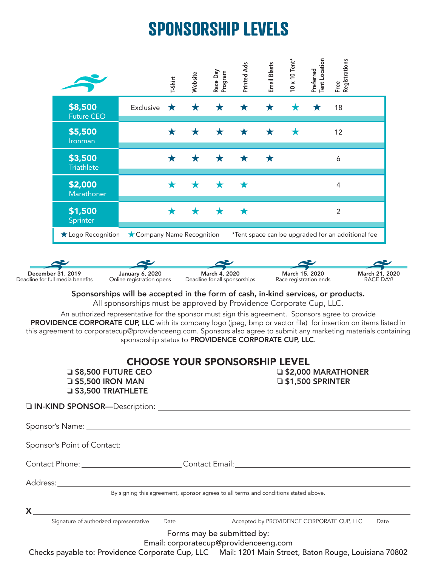## **SPONSORSHIP LEVELS**

|                   |                                                                                                                                                                                                          |                                                                                              | T-Shirt | Website | Race Day<br>Program                            | Printed Ads | <b>Email Blasts</b> | $0 \times 10$ Tent*                      | Tent Location<br>Preferred | Free<br>Registrations                             |                             |
|-------------------|----------------------------------------------------------------------------------------------------------------------------------------------------------------------------------------------------------|----------------------------------------------------------------------------------------------|---------|---------|------------------------------------------------|-------------|---------------------|------------------------------------------|----------------------------|---------------------------------------------------|-----------------------------|
|                   | \$8,500<br><b>Future CEO</b>                                                                                                                                                                             | Exclusive                                                                                    | ★       | ★       | ★                                              | ★           | ★                   |                                          |                            | 18                                                |                             |
|                   | \$5,500<br>Ironman                                                                                                                                                                                       |                                                                                              | ★       | ★       | ★                                              | Х           | Х                   |                                          |                            | 12                                                |                             |
|                   | \$3,500<br><b>Triathlete</b>                                                                                                                                                                             |                                                                                              | ★       | ★       | ★                                              | ★           | ★                   |                                          |                            | 6                                                 |                             |
|                   | \$2,000<br>Marathoner                                                                                                                                                                                    |                                                                                              | ★       | ★       | ★                                              |             |                     |                                          |                            | 4                                                 |                             |
|                   | \$1,500<br>Sprinter                                                                                                                                                                                      |                                                                                              | ★       | Х       | ★                                              | ★           |                     |                                          |                            | $\overline{2}$                                    |                             |
|                   | Logo Recognition                                                                                                                                                                                         | ★ Company Name Recognition                                                                   |         |         |                                                |             |                     |                                          |                            | *Tent space can be upgraded for an additional fee |                             |
|                   |                                                                                                                                                                                                          |                                                                                              |         |         |                                                |             |                     |                                          |                            |                                                   |                             |
| December 31, 2019 | Deadline for full media benefits                                                                                                                                                                         | January 6, 2020<br>Online registration opens                                                 |         |         | March 4, 2020<br>Deadline for all sponsorships |             |                     | March 15, 2020<br>Race registration ends |                            |                                                   | March 21, 2020<br>RACE DAY! |
|                   | this agreement to corporatecup@providenceeng.com. Sponsors also agree to submit any marketing materials containing<br><b>S8,500 FUTURE CEO</b><br><b>E \$5,500 IRON MAN</b><br><b>JS3,500 TRIATHLETE</b> | sponsorship status to PROVIDENCE CORPORATE CUP, LLC.<br><b>CHOOSE YOUR SPONSORSHIP LEVEL</b> |         |         |                                                |             |                     | $\square$ \$1,500 SPRINTER               |                            | <b>J#42,000 MARATHONER</b>                        |                             |
|                   |                                                                                                                                                                                                          |                                                                                              |         |         |                                                |             |                     |                                          |                            |                                                   |                             |
|                   |                                                                                                                                                                                                          |                                                                                              |         |         |                                                |             |                     |                                          |                            |                                                   |                             |
|                   |                                                                                                                                                                                                          |                                                                                              |         |         |                                                |             |                     |                                          |                            |                                                   |                             |
|                   |                                                                                                                                                                                                          |                                                                                              |         |         |                                                |             |                     |                                          |                            |                                                   |                             |
|                   |                                                                                                                                                                                                          |                                                                                              |         |         |                                                |             |                     |                                          |                            |                                                   |                             |
|                   |                                                                                                                                                                                                          | By signing this agreement, sponsor agrees to all terms and conditions stated above.          |         |         |                                                |             |                     |                                          |                            |                                                   |                             |
|                   | $X \sim$                                                                                                                                                                                                 |                                                                                              |         |         |                                                |             |                     |                                          |                            |                                                   |                             |
|                   | Signature of authorized representative                                                                                                                                                                   |                                                                                              | Date    |         | Forms may be submitted by:                     |             |                     |                                          |                            | Accepted by PROVIDENCE CORPORATE CUP, LLC         | Date                        |
|                   | Checks payable to: Providence Corporate Cup, LLC Mail: 1201 Main Street, Baton Rouge, Louisiana 70802                                                                                                    |                                                                                              |         |         | Email: corporatecup@providenceeng.com          |             |                     |                                          |                            |                                                   |                             |